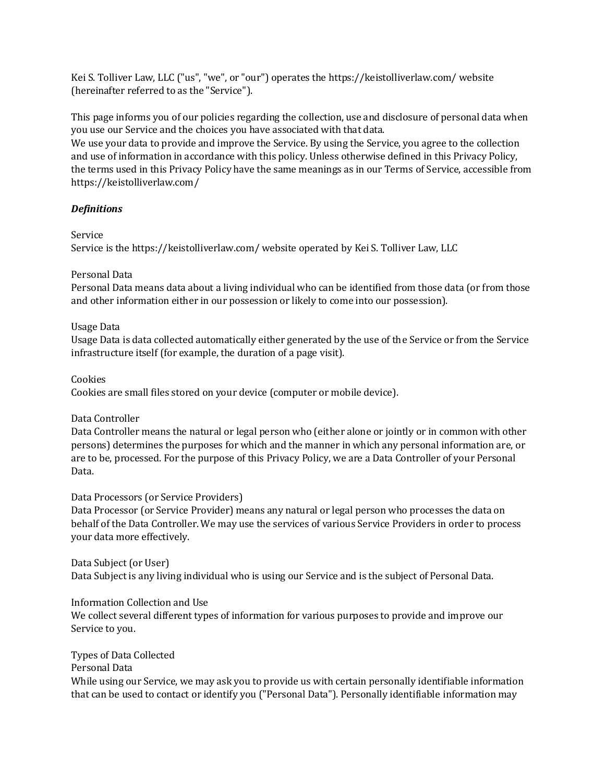Kei S. Tolliver Law, LLC ("us", "we", or "our") operates the https://keistolliverlaw.com/ website (hereinafter referred to as the "Service").

This page informs you of our policies regarding the collection, use and disclosure of personal data when you use our Service and the choices you have associated with that data.

We use your data to provide and improve the Service. By using the Service, you agree to the collection and use of information in accordance with this policy. Unless otherwise defined in this Privacy Policy, the terms used in this Privacy Policy have the same meanings as in our Terms of Service, accessible from https://keistolliverlaw.com/

# *Definitions*

Service

Service is the https://keistolliverlaw.com/ website operated by Kei S. Tolliver Law, LLC

## Personal Data

Personal Data means data about a living individual who can be identified from those data (or from those and other information either in our possession or likely to come into our possession).

## Usage Data

Usage Data is data collected automatically either generated by the use of the Service or from the Service infrastructure itself (for example, the duration of a page visit).

### Cookies

Cookies are small files stored on your device (computer or mobile device).

## Data Controller

Data Controller means the natural or legal person who (either alone or jointly or in common with other persons) determines the purposes for which and the manner in which any personal information are, or are to be, processed. For the purpose of this Privacy Policy, we are a Data Controller of your Personal Data.

## Data Processors (or Service Providers)

Data Processor (or Service Provider) means any natural or legal person who processes the data on behalf of the Data Controller. We may use the services of various Service Providers in order to process your data more effectively.

Data Subject (or User) Data Subject is any living individual who is using our Service and is the subject of Personal Data.

## Information Collection and Use

We collect several different types of information for various purposes to provide and improve our Service to you.

## Types of Data Collected

Personal Data

While using our Service, we may ask you to provide us with certain personally identifiable information that can be used to contact or identify you ("Personal Data"). Personally identifiable information may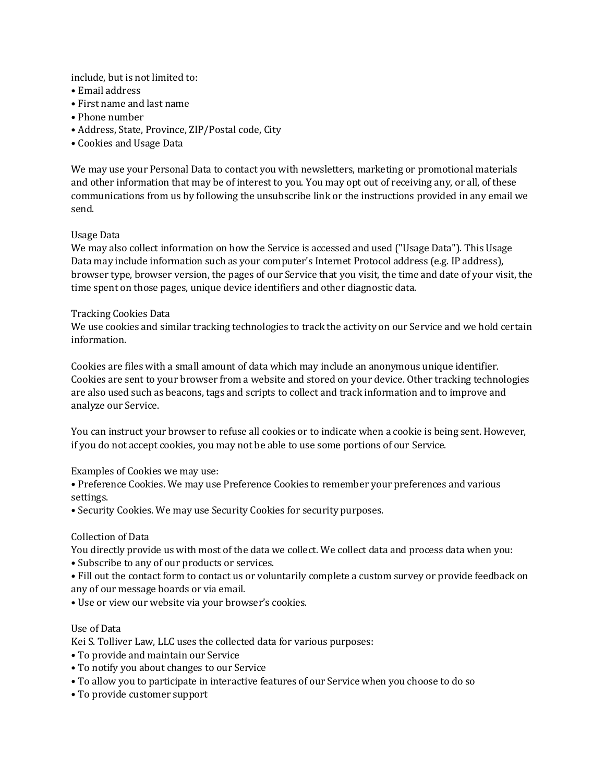include, but is not limited to:

- Email address
- First name and last name
- Phone number
- Address, State, Province, ZIP/Postal code, City
- Cookies and Usage Data

We may use your Personal Data to contact you with newsletters, marketing or promotional materials and other information that may be of interest to you. You may opt out of receiving any, or all, of these communications from us by following the unsubscribe link or the instructions provided in any email we send.

### Usage Data

We may also collect information on how the Service is accessed and used ("Usage Data"). This Usage Data may include information such as your computer's Internet Protocol address (e.g. IP address), browser type, browser version, the pages of our Service that you visit, the time and date of your visit, the time spent on those pages, unique device identifiers and other diagnostic data.

### Tracking Cookies Data

We use cookies and similar tracking technologies to track the activity on our Service and we hold certain information.

Cookies are files with a small amount of data which may include an anonymous unique identifier. Cookies are sent to your browser from a website and stored on your device. Other tracking technologies are also used such as beacons, tags and scripts to collect and track information and to improve and analyze our Service.

You can instruct your browser to refuse all cookies or to indicate when a cookie is being sent. However, if you do not accept cookies, you may not be able to use some portions of our Service.

### Examples of Cookies we may use:

• Preference Cookies. We may use Preference Cookies to remember your preferences and various settings.

• Security Cookies. We may use Security Cookies for security purposes.

## Collection of Data

You directly provide us with most of the data we collect. We collect data and process data when you:

- Subscribe to any of our products or services.
- Fill out the contact form to contact us or voluntarily complete a custom survey or provide feedback on any of our message boards or via email.
- Use or view our website via your browser's cookies.

### Use of Data

Kei S. Tolliver Law, LLC uses the collected data for various purposes:

- To provide and maintain our Service
- To notify you about changes to our Service
- To allow you to participate in interactive features of our Service when you choose to do so
- To provide customer support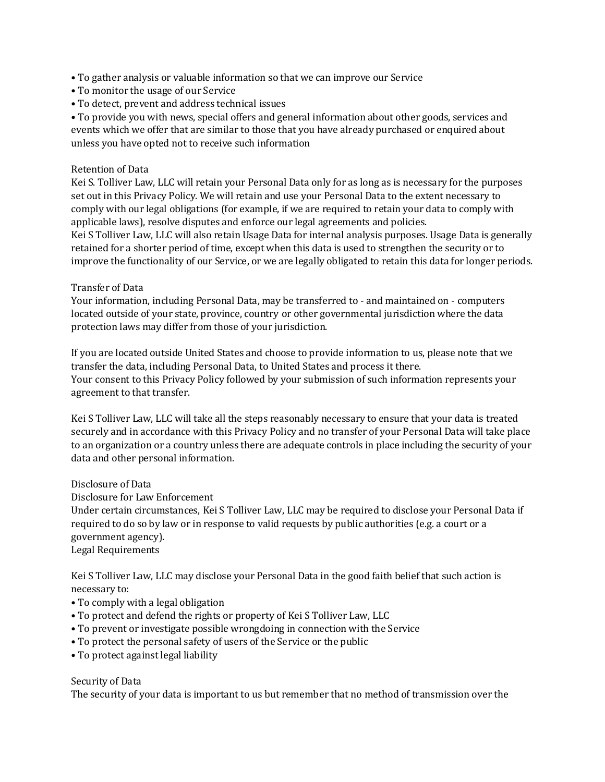- To gather analysis or valuable information so that we can improve our Service
- To monitor the usage of our Service
- To detect, prevent and address technical issues

• To provide you with news, special offers and general information about other goods, services and events which we offer that are similar to those that you have already purchased or enquired about unless you have opted not to receive such information

### Retention of Data

Kei S. Tolliver Law, LLC will retain your Personal Data only for as long as is necessary for the purposes set out in this Privacy Policy. We will retain and use your Personal Data to the extent necessary to comply with our legal obligations (for example, if we are required to retain your data to comply with applicable laws), resolve disputes and enforce our legal agreements and policies.

Kei S Tolliver Law, LLC will also retain Usage Data for internal analysis purposes. Usage Data is generally retained for a shorter period of time, except when this data is used to strengthen the security or to improve the functionality of our Service, or we are legally obligated to retain this data for longer periods.

### Transfer of Data

Your information, including Personal Data, may be transferred to - and maintained on - computers located outside of your state, province, country or other governmental jurisdiction where the data protection laws may differ from those of your jurisdiction.

If you are located outside United States and choose to provide information to us, please note that we transfer the data, including Personal Data, to United States and process it there. Your consent to this Privacy Policy followed by your submission of such information represents your agreement to that transfer.

Kei S Tolliver Law, LLC will take all the steps reasonably necessary to ensure that your data is treated securely and in accordance with this Privacy Policy and no transfer of your Personal Data will take place to an organization or a country unless there are adequate controls in place including the security of your data and other personal information.

### Disclosure of Data

Disclosure for Law Enforcement

Under certain circumstances, Kei S Tolliver Law, LLC may be required to disclose your Personal Data if required to do so by law or in response to valid requests by public authorities (e.g. a court or a government agency).

Legal Requirements

Kei S Tolliver Law, LLC may disclose your Personal Data in the good faith belief that such action is necessary to:

- To comply with a legal obligation
- To protect and defend the rights or property of Kei S Tolliver Law, LLC
- To prevent or investigate possible wrongdoing in connection with the Service
- To protect the personal safety of users of the Service or the public
- To protect against legal liability

### Security of Data

The security of your data is important to us but remember that no method of transmission over the